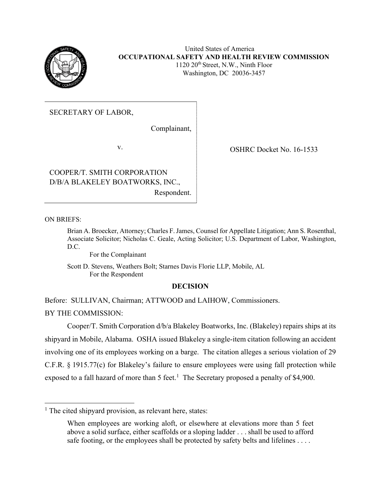

United States of America **OCCUPATIONAL SAFETY AND HEALTH REVIEW COMMISSION**  $1120 \ 20$ <sup>th</sup> Street, N.W., Ninth Floor Washington, DC 20036-3457

SECRETARY OF LABOR,

Complainant,

COOPER/T. SMITH CORPORATION D/B/A BLAKELEY BOATWORKS, INC., Respondent.

v. COSHRC Docket No. 16-1533

ON BRIEFS:

Brian A. Broecker, Attorney; Charles F. James, Counsel for Appellate Litigation; Ann S. Rosenthal, Associate Solicitor; Nicholas C. Geale, Acting Solicitor; U.S. Department of Labor, Washington, D.C.

For the Complainant

Scott D. Stevens, Weathers Bolt; Starnes Davis Florie LLP, Mobile, AL For the Respondent

# **DECISION**

Before: SULLIVAN, Chairman; ATTWOOD and LAIHOW, Commissioners.

BY THE COMMISSION:

Cooper/T. Smith Corporation d/b/a Blakeley Boatworks, Inc. (Blakeley) repairs ships at its shipyard in Mobile, Alabama. OSHA issued Blakeley a single-item citation following an accident involving one of its employees working on a barge. The citation alleges a serious violation of 29 C.F.R. § 1915.77(c) for Blakeley's failure to ensure employees were using fall protection while exposed to a fall hazard of more than 5 feet.<sup>[1](#page-0-0)</sup> The Secretary proposed a penalty of \$4,900.

<span id="page-0-0"></span><sup>&</sup>lt;sup>1</sup> The cited shipyard provision, as relevant here, states:

When employees are working aloft, or elsewhere at elevations more than 5 feet above a solid surface, either scaffolds or a sloping ladder . . . shall be used to afford safe footing, or the employees shall be protected by safety belts and lifelines . . . .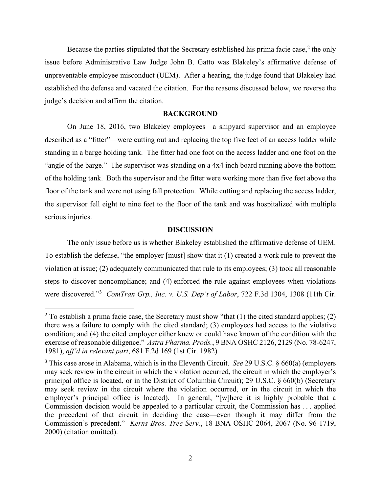Because the parties stipulated that the Secretary established his prima facie case, $2$  the only issue before Administrative Law Judge John B. Gatto was Blakeley's affirmative defense of unpreventable employee misconduct (UEM). After a hearing, the judge found that Blakeley had established the defense and vacated the citation. For the reasons discussed below, we reverse the judge's decision and affirm the citation.

#### **BACKGROUND**

On June 18, 2016, two Blakeley employees—a shipyard supervisor and an employee described as a "fitter"—were cutting out and replacing the top five feet of an access ladder while standing in a barge holding tank. The fitter had one foot on the access ladder and one foot on the "angle of the barge." The supervisor was standing on a 4x4 inch board running above the bottom of the holding tank. Both the supervisor and the fitter were working more than five feet above the floor of the tank and were not using fall protection. While cutting and replacing the access ladder, the supervisor fell eight to nine feet to the floor of the tank and was hospitalized with multiple serious injuries.

### **DISCUSSION**

The only issue before us is whether Blakeley established the affirmative defense of UEM. To establish the defense, "the employer [must] show that it (1) created a work rule to prevent the violation at issue; (2) adequately communicated that rule to its employees; (3) took all reasonable steps to discover noncompliance; and (4) enforced the rule against employees when violations were discovered."[3](#page-1-1) *ComTran Grp., Inc. v. U.S. Dep't of Labor*, 722 F.3d 1304, 1308 (11th Cir.

<span id="page-1-0"></span><sup>&</sup>lt;sup>2</sup> To establish a prima facie case, the Secretary must show "that (1) the cited standard applies; (2) there was a failure to comply with the cited standard; (3) employees had access to the violative condition; and (4) the cited employer either knew or could have known of the condition with the exercise of reasonable diligence." *Astra Pharma. Prods.*, 9 BNA OSHC 2126, 2129 (No. 78-6247, 1981), *aff'd in relevant part*, 681 F.2d 169 (1st Cir. 1982)

<span id="page-1-1"></span><sup>3</sup> This case arose in Alabama, which is in the Eleventh Circuit. *See* 29 U.S.C. § 660(a) (employers may seek review in the circuit in which the violation occurred, the circuit in which the employer's principal office is located, or in the District of Columbia Circuit); 29 U.S.C. § 660(b) (Secretary may seek review in the circuit where the violation occurred, or in the circuit in which the employer's principal office is located). In general, "[w]here it is highly probable that a Commission decision would be appealed to a particular circuit, the Commission has . . . applied the precedent of that circuit in deciding the case—even though it may differ from the Commission's precedent." *Kerns Bros. Tree Serv.*, 18 BNA OSHC 2064, 2067 (No. 96-1719, 2000) (citation omitted).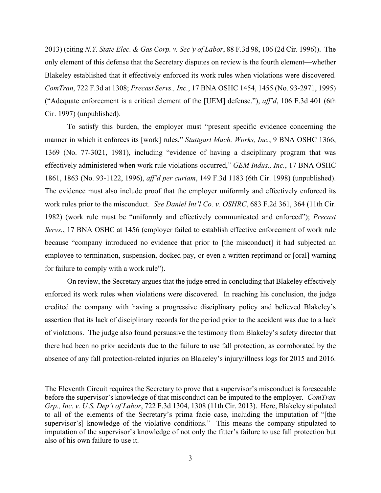2013) (citing *N.Y. State Elec. & Gas Corp. v. Sec'y of Labor*, 88 F.3d 98, 106 (2d Cir. 1996)). The only element of this defense that the Secretary disputes on review is the fourth element—whether Blakeley established that it effectively enforced its work rules when violations were discovered. *ComTran*, 722 F.3d at 1308; *Precast Servs., Inc.*, 17 BNA OSHC 1454, 1455 (No. 93-2971, 1995) ("Adequate enforcement is a critical element of the [UEM] defense."), *aff'd*, 106 F.3d 401 (6th Cir. 1997) (unpublished).

To satisfy this burden, the employer must "present specific evidence concerning the manner in which it enforces its [work] rules," *Stuttgart Mach. Works, Inc.*, 9 BNA OSHC 1366, 1369 (No. 77-3021, 1981), including "evidence of having a disciplinary program that was effectively administered when work rule violations occurred," *GEM Indus., Inc.*, 17 BNA OSHC 1861, 1863 (No. 93-1122, 1996), *aff'd per curiam*, 149 F.3d 1183 (6th Cir. 1998) (unpublished). The evidence must also include proof that the employer uniformly and effectively enforced its work rules prior to the misconduct. *See Daniel Int'l Co. v. OSHRC*, 683 F.2d 361, 364 (11th Cir. 1982) (work rule must be "uniformly and effectively communicated and enforced"); *Precast Servs.*, 17 BNA OSHC at 1456 (employer failed to establish effective enforcement of work rule because "company introduced no evidence that prior to [the misconduct] it had subjected an employee to termination, suspension, docked pay, or even a written reprimand or [oral] warning for failure to comply with a work rule").

On review, the Secretary argues that the judge erred in concluding that Blakeley effectively enforced its work rules when violations were discovered. In reaching his conclusion, the judge credited the company with having a progressive disciplinary policy and believed Blakeley's assertion that its lack of disciplinary records for the period prior to the accident was due to a lack of violations. The judge also found persuasive the testimony from Blakeley's safety director that there had been no prior accidents due to the failure to use fall protection, as corroborated by the absence of any fall protection-related injuries on Blakeley's injury/illness logs for 2015 and 2016.

The Eleventh Circuit requires the Secretary to prove that a supervisor's misconduct is foreseeable before the supervisor's knowledge of that misconduct can be imputed to the employer. *ComTran Grp., Inc. v. U.S. Dep't of Labor*, 722 F.3d 1304, 1308 (11th Cir. 2013). Here, Blakeley stipulated to all of the elements of the Secretary's prima facie case, including the imputation of "[the supervisor's] knowledge of the violative conditions." This means the company stipulated to imputation of the supervisor's knowledge of not only the fitter's failure to use fall protection but also of his own failure to use it.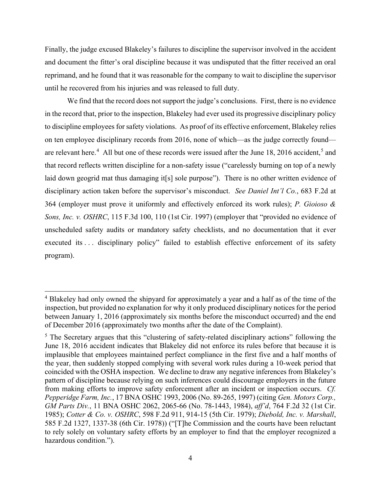Finally, the judge excused Blakeley's failures to discipline the supervisor involved in the accident and document the fitter's oral discipline because it was undisputed that the fitter received an oral reprimand, and he found that it was reasonable for the company to wait to discipline the supervisor until he recovered from his injuries and was released to full duty.

We find that the record does not support the judge's conclusions. First, there is no evidence in the record that, prior to the inspection, Blakeley had ever used its progressive disciplinary policy to discipline employees for safety violations. As proof of its effective enforcement, Blakeley relies on ten employee disciplinary records from 2016, none of which—as the judge correctly found— are relevant here.<sup>[4](#page-3-0)</sup> All but one of these records were issued after the June 18, 2016 accident,<sup>[5](#page-3-1)</sup> and that record reflects written discipline for a non-safety issue ("carelessly burning on top of a newly laid down geogrid mat thus damaging it<sup>[s]</sup> sole purpose"). There is no other written evidence of disciplinary action taken before the supervisor's misconduct. *See Daniel Int'l Co.*, 683 F.2d at 364 (employer must prove it uniformly and effectively enforced its work rules); *P. Gioioso & Sons, Inc. v. OSHRC*, 115 F.3d 100, 110 (1st Cir. 1997) (employer that "provided no evidence of unscheduled safety audits or mandatory safety checklists, and no documentation that it ever executed its ... disciplinary policy" failed to establish effective enforcement of its safety program).

<span id="page-3-0"></span><sup>&</sup>lt;sup>4</sup> Blakeley had only owned the shipyard for approximately a year and a half as of the time of the inspection, but provided no explanation for why it only produced disciplinary notices for the period between January 1, 2016 (approximately six months before the misconduct occurred) and the end of December 2016 (approximately two months after the date of the Complaint).

<span id="page-3-1"></span><sup>&</sup>lt;sup>5</sup> The Secretary argues that this "clustering of safety-related disciplinary actions" following the June 18, 2016 accident indicates that Blakeley did not enforce its rules before that because it is implausible that employees maintained perfect compliance in the first five and a half months of the year, then suddenly stopped complying with several work rules during a 10-week period that coincided with the OSHA inspection. We decline to draw any negative inferences from Blakeley's pattern of discipline because relying on such inferences could discourage employers in the future from making efforts to improve safety enforcement after an incident or inspection occurs. *Cf. Pepperidge Farm, Inc.*, 17 BNA OSHC 1993, 2006 (No. 89-265, 1997) (citing *Gen. Motors Corp., GM Parts Div.*, 11 BNA OSHC 2062, 2065-66 (No. 78-1443, 1984), *aff'd*, 764 F.2d 32 (1st Cir. 1985); *Cotter & Co. v. OSHRC*, 598 F.2d 911, 914-15 (5th Cir. 1979); *Diebold, Inc. v. Marshall*, 585 F.2d 1327, 1337-38 (6th Cir. 1978)) ("[T]he Commission and the courts have been reluctant to rely solely on voluntary safety efforts by an employer to find that the employer recognized a hazardous condition.").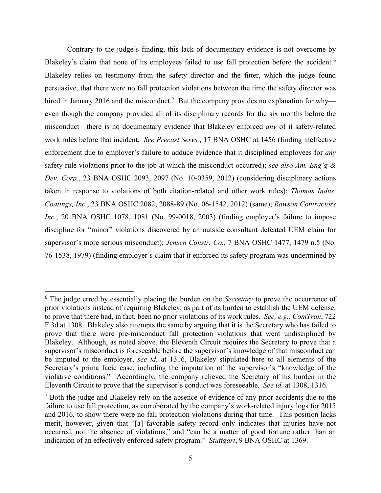Contrary to the judge's finding, this lack of documentary evidence is not overcome by Blakeley's claim that none of its employees failed to use fall protection before the accident.<sup>[6](#page-4-0)</sup> Blakeley relies on testimony from the safety director and the fitter, which the judge found persuasive, that there were no fall protection violations between the time the safety director was hired in January 2016 and the misconduct.<sup>[7](#page-4-1)</sup> But the company provides no explanation for why even though the company provided all of its disciplinary records for the six months before the misconduct—there is no documentary evidence that Blakeley enforced *any* of it safety-related work rules before that incident. *See Precast Servs.*, 17 BNA OSHC at 1456 (finding ineffective enforcement due to employer's failure to adduce evidence that it disciplined employees for *any* safety rule violations prior to the job at which the misconduct occurred); *see also Am. Eng'g & Dev. Corp.*, 23 BNA OSHC 2093, 2097 (No. 10-0359, 2012) (considering disciplinary actions taken in response to violations of both citation-related and other work rules); *Thomas Indus. Coatings, Inc.*, 23 BNA OSHC 2082, 2088-89 (No. 06-1542, 2012) (same); *Rawson Contractors Inc.*, 20 BNA OSHC 1078, 1081 (No. 99-0018, 2003) (finding employer's failure to impose discipline for "minor" violations discovered by an outside consultant defeated UEM claim for supervisor's more serious misconduct); *Jensen Constr. Co.*, 7 BNA OSHC 1477, 1479 n.5 (No. 76-1538, 1979) (finding employer's claim that it enforced its safety program was undermined by

<span id="page-4-0"></span><sup>6</sup> The judge erred by essentially placing the burden on the *Secretary* to prove the occurrence of prior violations instead of requiring Blakeley, as part of its burden to establish the UEM defense, to prove that there had, in fact, been no prior violations of its work rules. *See, e.g.*, *ComTran*, 722 F.3d at 1308. Blakeley also attempts the same by arguing that it is the Secretary who has failed to prove that there were pre-misconduct fall protection violations that went undisciplined by Blakeley. Although, as noted above, the Eleventh Circuit requires the Secretary to prove that a supervisor's misconduct is foreseeable before the supervisor's knowledge of that misconduct can be imputed to the employer, *see id.* at 1316, Blakeley stipulated here to all elements of the Secretary's prima facie case, including the imputation of the supervisor's "knowledge of the violative conditions." Accordingly, the company relieved the Secretary of his burden in the Eleventh Circuit to prove that the supervisor's conduct was foreseeable. *See id.* at 1308, 1316.

<span id="page-4-1"></span><sup>&</sup>lt;sup>7</sup> Both the judge and Blakeley rely on the absence of evidence of any prior accidents due to the failure to use fall protection, as corroborated by the company's work-related injury logs for 2015 and 2016, to show there were no fall protection violations during that time. This position lacks merit, however, given that "[a] favorable safety record only indicates that injuries have not occurred, not the absence of violations," and "can be a matter of good fortune rather than an indication of an effectively enforced safety program." *Stuttgart*, 9 BNA OSHC at 1369.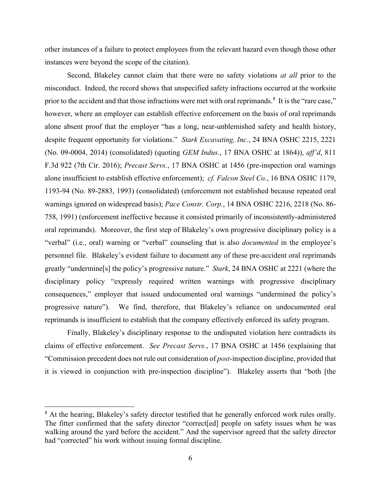other instances of a failure to protect employees from the relevant hazard even though those other instances were beyond the scope of the citation).

Second, Blakeley cannot claim that there were no safety violations *at all* prior to the misconduct. Indeed, the record shows that unspecified safety infractions occurred at the worksite prior to the accident and that those infractions were met with oral reprimands.<sup>[8](#page-5-0)</sup> It is the "rare case," however, where an employer can establish effective enforcement on the basis of oral reprimands alone absent proof that the employer "has a long, near-unblemished safety and health history, despite frequent opportunity for violations." *Stark Excavating, Inc.*, 24 BNA OSHC 2215, 2221 (No. 09-0004, 2014) (consolidated) (quoting *GEM Indus.*, 17 BNA OSHC at 1864)), *aff'd*, 811 F.3d 922 (7th Cir. 2016); *Precast Servs.*, 17 BNA OSHC at 1456 (pre-inspection oral warnings alone insufficient to establish effective enforcement); *cf. Falcon Steel Co.*, 16 BNA OSHC 1179, 1193-94 (No. 89-2883, 1993) (consolidated) (enforcement not established because repeated oral warnings ignored on widespread basis); *Pace Constr. Corp.*, 14 BNA OSHC 2216, 2218 (No. 86- 758, 1991) (enforcement ineffective because it consisted primarily of inconsistently-administered oral reprimands). Moreover, the first step of Blakeley's own progressive disciplinary policy is a "verbal" (i.e., oral) warning or "verbal" counseling that is also *documented* in the employee's personnel file. Blakeley's evident failure to document any of these pre-accident oral reprimands greatly "undermine[s] the policy's progressive nature." *Stark*, 24 BNA OSHC at 2221 (where the disciplinary policy "expressly required written warnings with progressive disciplinary consequences," employer that issued undocumented oral warnings "undermined the policy's progressive nature"). We find, therefore, that Blakeley's reliance on undocumented oral reprimands is insufficient to establish that the company effectively enforced its safety program.

Finally, Blakeley's disciplinary response to the undisputed violation here contradicts its claims of effective enforcement. *See Precast Servs.*, 17 BNA OSHC at 1456 (explaining that "Commission precedent does not rule out consideration of *post*-inspection discipline, provided that it is viewed in conjunction with pre-inspection discipline"). Blakeley asserts that "both [the

<span id="page-5-0"></span><sup>&</sup>lt;sup>8</sup> At the hearing, Blakeley's safety director testified that he generally enforced work rules orally. The fitter confirmed that the safety director "correct[ed] people on safety issues when he was walking around the yard before the accident." And the supervisor agreed that the safety director had "corrected" his work without issuing formal discipline.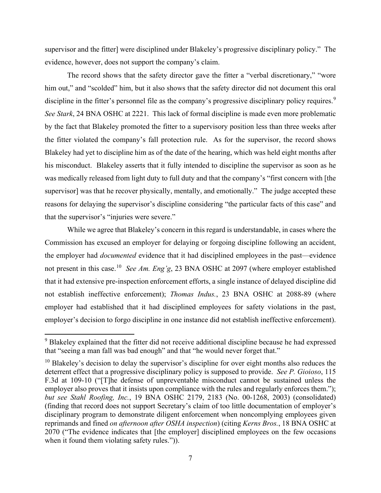supervisor and the fitter] were disciplined under Blakeley's progressive disciplinary policy." The evidence, however, does not support the company's claim.

The record shows that the safety director gave the fitter a "verbal discretionary," "wore him out," and "scolded" him, but it also shows that the safety director did not document this oral discipline in the fitter's personnel file as the company's progressive disciplinary policy requires.<sup>[9](#page-6-0)</sup> *See Stark*, 24 BNA OSHC at 2221. This lack of formal discipline is made even more problematic by the fact that Blakeley promoted the fitter to a supervisory position less than three weeks after the fitter violated the company's fall protection rule. As for the supervisor, the record shows Blakeley had yet to discipline him as of the date of the hearing, which was held eight months after his misconduct. Blakeley asserts that it fully intended to discipline the supervisor as soon as he was medically released from light duty to full duty and that the company's "first concern with [the supervisor] was that he recover physically, mentally, and emotionally." The judge accepted these reasons for delaying the supervisor's discipline considering "the particular facts of this case" and that the supervisor's "injuries were severe."

While we agree that Blakeley's concern in this regard is understandable, in cases where the Commission has excused an employer for delaying or forgoing discipline following an accident, the employer had *documented* evidence that it had disciplined employees in the past—evidence not present in this case.[10](#page-6-1) *See Am. Eng'g*, 23 BNA OSHC at 2097 (where employer established that it had extensive pre-inspection enforcement efforts, a single instance of delayed discipline did not establish ineffective enforcement); *Thomas Indus.*, 23 BNA OSHC at 2088-89 (where employer had established that it had disciplined employees for safety violations in the past, employer's decision to forgo discipline in one instance did not establish ineffective enforcement).

<span id="page-6-0"></span><sup>&</sup>lt;sup>9</sup> Blakeley explained that the fitter did not receive additional discipline because he had expressed that "seeing a man fall was bad enough" and that "he would never forget that."

<span id="page-6-1"></span> $10$  Blakeley's decision to delay the supervisor's discipline for over eight months also reduces the deterrent effect that a progressive disciplinary policy is supposed to provide. *See P. Gioioso*, 115 F.3d at 109-10 ("[T]he defense of unpreventable misconduct cannot be sustained unless the employer also proves that it insists upon compliance with the rules and regularly enforces them."); *but see Stahl Roofing, Inc.*, 19 BNA OSHC 2179, 2183 (No. 00-1268, 2003) (consolidated) (finding that record does not support Secretary's claim of too little documentation of employer's disciplinary program to demonstrate diligent enforcement when noncomplying employees given reprimands and fined *on afternoon after OSHA inspection*) (citing *Kerns Bros.*, 18 BNA OSHC at 2070 ("The evidence indicates that [the employer] disciplined employees on the few occasions when it found them violating safety rules.")).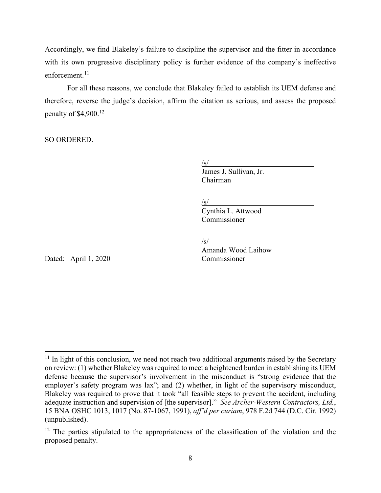Accordingly, we find Blakeley's failure to discipline the supervisor and the fitter in accordance with its own progressive disciplinary policy is further evidence of the company's ineffective enforcement.<sup>11</sup>

For all these reasons, we conclude that Blakeley failed to establish its UEM defense and therefore, reverse the judge's decision, affirm the citation as serious, and assess the proposed penalty of  $$4,900$ .<sup>[12](#page-7-1)</sup>

SO ORDERED.

 $\sqrt{s/2}$ 

James J. Sullivan, Jr. Chairman

 $\sqrt{s/2}$ 

Cynthia L. Attwood Commissioner

 $\sqrt{s/2}$ 

Amanda Wood Laihow

Dated: April 1, 2020 Commissioner

<span id="page-7-0"></span> $11$  In light of this conclusion, we need not reach two additional arguments raised by the Secretary on review: (1) whether Blakeley was required to meet a heightened burden in establishing its UEM defense because the supervisor's involvement in the misconduct is "strong evidence that the employer's safety program was lax"; and (2) whether, in light of the supervisory misconduct, Blakeley was required to prove that it took "all feasible steps to prevent the accident, including adequate instruction and supervision of [the supervisor]." *See Archer-Western Contractors, Ltd.*, 15 BNA OSHC 1013, 1017 (No. 87-1067, 1991), *aff'd per curiam*, 978 F.2d 744 (D.C. Cir. 1992) (unpublished).

<span id="page-7-1"></span> $12$  The parties stipulated to the appropriateness of the classification of the violation and the proposed penalty.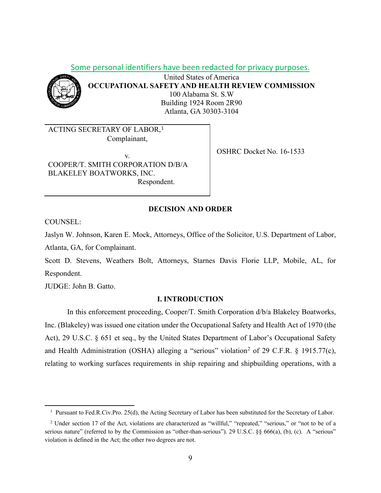Some personal identifiers have been redacted for privacy purposes.



United States of America **OCCUPATIONAL SAFETY AND HEALTH REVIEW COMMISSION** 100 Alabama St. S.W Building 1924 Room 2R90 Atlanta, GA 30303-3104

ACTING SECRETARY OF LABOR, [1](#page-8-0) Complainant,

v. COOPER/T. SMITH CORPORATION D/B/A BLAKELEY BOATWORKS, INC. Respondent.

OSHRC Docket No. 16-1533

## **DECISION AND ORDER**

COUNSEL:

Jaslyn W. Johnson, Karen E. Mock, Attorneys, Office of the Solicitor, U.S. Department of Labor, Atlanta, GA, for Complainant.

Scott D. Stevens, Weathers Bolt, Attorneys, Starnes Davis Florie LLP, Mobile, AL, for Respondent.

JUDGE: John B. Gatto.

## **I. INTRODUCTION**

In this enforcement proceeding, Cooper/T. Smith Corporation d/b/a Blakeley Boatworks, Inc. (Blakeley) was issued one citation under the Occupational Safety and Health Act of 1970 (the Act), 29 U.S.C. § 651 et seq., by the United States Department of Labor's Occupational Safety and Health Administration (OSHA) alleging a "serious" violation<sup>[2](#page-8-1)</sup> of 29 C.F.R. § 1915.77(c), relating to working surfaces requirements in ship repairing and shipbuilding operations, with a

<sup>&</sup>lt;sup>1</sup> Pursuant to Fed.R.Civ.Pro. 25(d), the Acting Secretary of Labor has been substituted for the Secretary of Labor.

<span id="page-8-1"></span><span id="page-8-0"></span><sup>2</sup> Under section 17 of the Act, violations are characterized as "willful," "repeated," "serious," or "not to be of a serious nature" (referred to by the Commission as "other-than-serious"). 29 U.S.C. §§ 666(a), (b), (c). A "serious" violation is defined in the Act; the other two degrees are not.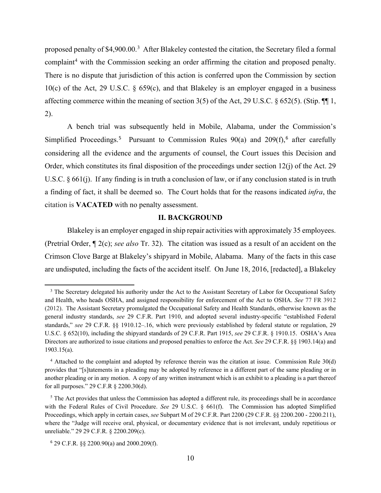proposed penalty of \$4,900.00.<sup>[3](#page-9-0)</sup> After Blakeley contested the citation, the Secretary filed a formal complaint<sup>[4](#page-9-1)</sup> with the Commission seeking an order affirming the citation and proposed penalty. There is no dispute that jurisdiction of this action is conferred upon the Commission by section 10(c) of the Act, 29 U.S.C. § 659(c), and that Blakeley is an employer engaged in a business affecting commerce within the meaning of section 3(5) of the Act, 29 U.S.C. § 652(5). (Stip. ¶¶ 1, 2).

 A bench trial was subsequently held in Mobile, Alabama, under the Commission's Simplified Proceedings.<sup>[5](#page-9-2)</sup> Pursuant to Commission Rules  $90(a)$  and  $209(f),^6$  $209(f),^6$  after carefully considering all the evidence and the arguments of counsel, the Court issues this Decision and Order, which constitutes its final disposition of the proceedings under section  $12(i)$  of the Act. 29 U.S.C. § 661(j). If any finding is in truth a conclusion of law, or if any conclusion stated is in truth a finding of fact, it shall be deemed so. The Court holds that for the reasons indicated *infra*, the citation is **VACATED** with no penalty assessment.

## **II. BACKGROUND**

Blakeley is an employer engaged in ship repair activities with approximately 35 employees. (Pretrial Order, ¶ 2(c); *see also* Tr. 32). The citation was issued as a result of an accident on the Crimson Clove Barge at Blakeley's shipyard in Mobile, Alabama. Many of the facts in this case are undisputed, including the facts of the accident itself. On June 18, 2016, [redacted], a Blakeley

<span id="page-9-0"></span><sup>&</sup>lt;sup>3</sup> The Secretary delegated his authority under the Act to the Assistant Secretary of Labor for Occupational Safety and Health, who heads OSHA, and assigned responsibility for enforcement of the Act to OSHA. *See* 77 FR 3912 (2012). The Assistant Secretary promulgated the Occupational Safety and Health Standards, otherwise known as the general industry standards, *see* 29 C.F.R. Part 1910, and adopted several industry-specific "established Federal standards," *see* 29 C.F.R. §§ 1910.12–.16, which were previously established by federal statute or regulation, 29 U.S.C. § 652(10), including the shipyard standards of 29 C.F.R. Part 1915, *see* 29 C.F.R. § 1910.15. OSHA's Area Directors are authorized to issue citations and proposed penalties to enforce the Act. *See* 29 C.F.R. §§ 1903.14(a) and 1903.15(a).

<span id="page-9-1"></span><sup>4</sup> Attached to the complaint and adopted by reference therein was the citation at issue. Commission Rule 30(d) provides that "[s]tatements in a pleading may be adopted by reference in a different part of the same pleading or in another pleading or in any motion. A copy of any written instrument which is an exhibit to a pleading is a part thereof for all purposes." 29 C.F.R § 2200.30(d).

<span id="page-9-2"></span><sup>&</sup>lt;sup>5</sup> The Act provides that unless the Commission has adopted a different rule, its proceedings shall be in accordance with the Federal Rules of Civil Procedure. *See* 29 U.S.C. § 661(f). The Commission has adopted Simplified Proceedings, which apply in certain cases, *see* Subpart M of 29 C.F.R. Part 2200 (29 C.F.R. §§ 2200.200 - 2200.211), where the "Judge will receive oral, physical, or documentary evidence that is not irrelevant, unduly repetitious or unreliable." 29 29 C.F.R. § 2200.209(c).

<span id="page-9-3"></span><sup>6</sup> 29 C.F.R. §§ 2200.90(a) and 2000.209(f).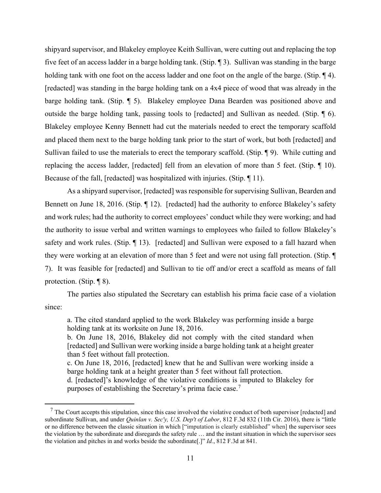shipyard supervisor, and Blakeley employee Keith Sullivan, were cutting out and replacing the top five feet of an access ladder in a barge holding tank. (Stip. ¶ 3). Sullivan was standing in the barge holding tank with one foot on the access ladder and one foot on the angle of the barge. (Stip. 14). [redacted] was standing in the barge holding tank on a 4x4 piece of wood that was already in the barge holding tank. (Stip. ¶ 5). Blakeley employee Dana Bearden was positioned above and outside the barge holding tank, passing tools to [redacted] and Sullivan as needed. (Stip. ¶ 6). Blakeley employee Kenny Bennett had cut the materials needed to erect the temporary scaffold and placed them next to the barge holding tank prior to the start of work, but both [redacted] and Sullivan failed to use the materials to erect the temporary scaffold. (Stip. ¶ 9). While cutting and replacing the access ladder, [redacted] fell from an elevation of more than 5 feet. (Stip. ¶ 10). Because of the fall, [redacted] was hospitalized with injuries. (Stip. ¶ 11).

As a shipyard supervisor, [redacted] was responsible for supervising Sullivan, Bearden and Bennett on June 18, 2016. (Stip. 12). [redacted] had the authority to enforce Blakeley's safety and work rules; had the authority to correct employees' conduct while they were working; and had the authority to issue verbal and written warnings to employees who failed to follow Blakeley's safety and work rules. (Stip. ¶ 13). [redacted] and Sullivan were exposed to a fall hazard when they were working at an elevation of more than 5 feet and were not using fall protection. (Stip. ¶ 7). It was feasible for [redacted] and Sullivan to tie off and/or erect a scaffold as means of fall protection. (Stip. ¶ 8).

The parties also stipulated the Secretary can establish his prima facie case of a violation since:

a. The cited standard applied to the work Blakeley was performing inside a barge holding tank at its worksite on June 18, 2016.

b. On June 18, 2016, Blakeley did not comply with the cited standard when [redacted] and Sullivan were working inside a barge holding tank at a height greater than 5 feet without fall protection.

c. On June 18, 2016, [redacted] knew that he and Sullivan were working inside a barge holding tank at a height greater than 5 feet without fall protection.

d. [redacted]'s knowledge of the violative conditions is imputed to Blakeley for purposes of establishing the Secretary's prima facie case.<sup>[7](#page-10-0)</sup>

<span id="page-10-0"></span> $<sup>7</sup>$  The Court accepts this stipulation, since this case involved the violative conduct of both supervisor [redacted] and</sup> subordinate Sullivan, and under *Quinlan v. Sec'y, U.S. Dep't of Labor*, 812 F.3d 832 (11th Cir. 2016), there is "little or no difference between the classic situation in which ["imputation is clearly established" when] the supervisor sees the violation by the subordinate and disregards the safety rule … and the instant situation in which the supervisor sees the violation and pitches in and works beside the subordinate[.]" *Id.*, 812 F.3d at 841.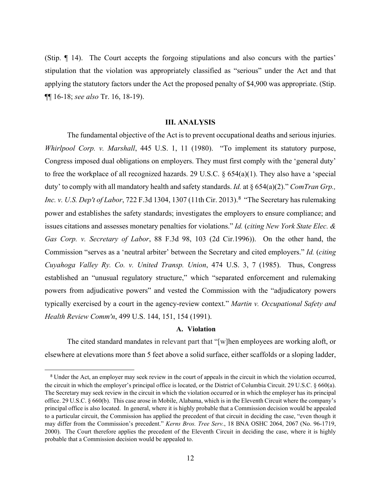(Stip. ¶ 14). The Court accepts the forgoing stipulations and also concurs with the parties' stipulation that the violation was appropriately classified as "serious" under the Act and that applying the statutory factors under the Act the proposed penalty of \$4,900 was appropriate. (Stip. ¶¶ 16-18; *see also* Tr. 16, 18-19).

#### **III. ANALYSIS**

The fundamental objective of the Act is to prevent occupational deaths and serious injuries. *Whirlpool Corp. v. Marshall*, 445 U.S. 1, 11 (1980). "To implement its statutory purpose, Congress imposed dual obligations on employers. They must first comply with the 'general duty' to free the workplace of all recognized hazards. 29 U.S.C. § 654(a)(1). They also have a 'special duty' to comply with all mandatory health and safety standards. *Id.* at § 654(a)(2)." *ComTran Grp., Inc. v. U.S. Dep't of Labor*, 722 F.3d 1304, 1307 (11th Cir. 2013). [8](#page-11-0) "The Secretary has rulemaking power and establishes the safety standards; investigates the employers to ensure compliance; and issues citations and assesses monetary penalties for violations." *Id.* (*citing New York State Elec. & Gas Corp. v. Secretary of Labor*, 88 F.3d 98, 103 (2d Cir.1996)). On the other hand, the Commission "serves as a 'neutral arbiter' between the Secretary and cited employers." *Id.* (*citing Cuyahoga Valley Ry. Co. v. United Transp. Union*, 474 U.S. 3, 7 (1985). Thus, Congress established an "unusual regulatory structure," which "separated enforcement and rulemaking powers from adjudicative powers" and vested the Commission with the "adjudicatory powers typically exercised by a court in the agency-review context." *Martin v. Occupational Safety and Health Review Comm'n*, 499 U.S. 144, 151, 154 (1991).

#### **A. Violation**

The cited standard mandates in relevant part that "[w]hen employees are working aloft, or elsewhere at elevations more than 5 feet above a solid surface, either scaffolds or a sloping ladder,

<span id="page-11-0"></span><sup>8</sup> Under the Act, an employer may seek review in the court of appeals in the circuit in which the violation occurred, the circuit in which the employer's principal office is located, or the District of Columbia Circuit. 29 U.S.C. § 660(a). The Secretary may seek review in the circuit in which the violation occurred or in which the employer has its principal office. 29 U.S.C. § 660(b). This case arose in Mobile, Alabama, which is in the Eleventh Circuit where the company's principal office is also located. In general, where it is highly probable that a Commission decision would be appealed to a particular circuit, the Commission has applied the precedent of that circuit in deciding the case, "even though it may differ from the Commission's precedent." *Kerns Bros. Tree Serv.*, 18 BNA OSHC 2064, 2067 (No. 96-1719, 2000). The Court therefore applies the precedent of the Eleventh Circuit in deciding the case, where it is highly probable that a Commission decision would be appealed to.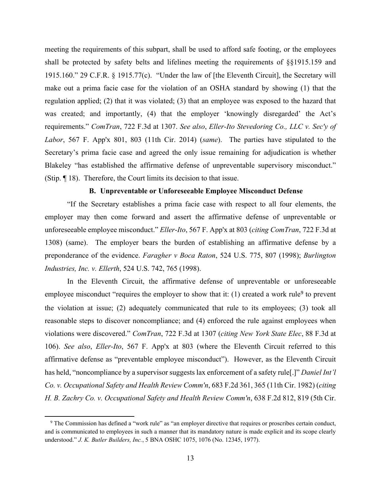meeting the requirements of this subpart, shall be used to afford safe footing, or the employees shall be protected by safety belts and lifelines meeting the requirements of §§1915.159 and 1915.160." 29 C.F.R. § 1915.77(c). "Under the law of [the Eleventh Circuit], the Secretary will make out a prima facie case for the violation of an OSHA standard by showing (1) that the regulation applied; (2) that it was violated; (3) that an employee was exposed to the hazard that was created; and importantly, (4) that the employer 'knowingly disregarded' the Act's requirements." *ComTran*, 722 F.3d at 1307. *See also*, *Eller-Ito Stevedoring Co., LLC v. Sec'y of Labor*, 567 F. App'x 801, 803 (11th Cir. 2014) (*same*). The parties have stipulated to the Secretary's prima facie case and agreed the only issue remaining for adjudication is whether Blakeley "has established the affirmative defense of unpreventable supervisory misconduct." (Stip. ¶ 18). Therefore, the Court limits its decision to that issue.

### **B. Unpreventable or Unforeseeable Employee Misconduct Defense**

"If the Secretary establishes a prima facie case with respect to all four elements, the employer may then come forward and assert the affirmative defense of unpreventable or unforeseeable employee misconduct." *Eller-Ito*, 567 F. App'x at 803 (*citing ComTran*, 722 F.3d at 1308) (same). The employer bears the burden of establishing an affirmative defense by a preponderance of the evidence. *Faragher v Boca Raton*, 524 U.S. 775, 807 (1998); *Burlington Industries, Inc. v. Ellerth*, 524 U.S. 742, 765 (1998).

In the Eleventh Circuit, the affirmative defense of unpreventable or unforeseeable employee misconduct "requires the employer to show that it:  $(1)$  created a work rule<sup>[9](#page-12-0)</sup> to prevent the violation at issue; (2) adequately communicated that rule to its employees; (3) took all reasonable steps to discover noncompliance; and (4) enforced the rule against employees when violations were discovered." *ComTran*, 722 F.3d at 1307 (*citing New York State Elec*, 88 F.3d at 106). *See also*, *Eller-Ito*, 567 F. App'x at 803 (where the Eleventh Circuit referred to this affirmative defense as "preventable employee misconduct"). However, as the Eleventh Circuit has held, "noncompliance by a supervisor suggests lax enforcement of a safety rule[.]" *Daniel Int'l Co. v. Occupational Safety and Health Review Comm'n*, 683 F.2d 361, 365 (11th Cir. 1982) (*citing H. B. Zachry Co. v. Occupational Safety and Health Review Comm'n*, 638 F.2d 812, 819 (5th Cir.

<span id="page-12-0"></span><sup>9</sup> The Commission has defined a "work rule" as "an employer directive that requires or proscribes certain conduct, and is communicated to employees in such a manner that its mandatory nature is made explicit and its scope clearly understood." *J. K. Butler Builders, Inc.*, 5 BNA OSHC 1075, 1076 (No. 12345, 1977).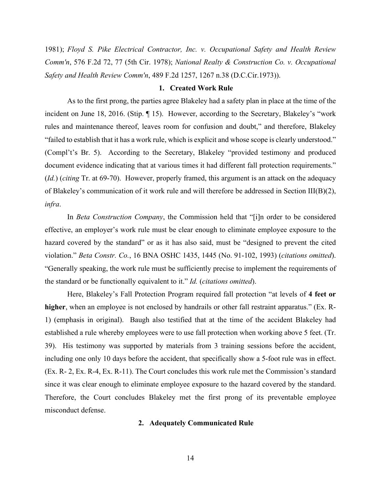1981); *Floyd S. Pike Electrical Contractor, Inc. v. Occupational Safety and Health Review Comm'n*, 576 F.2d 72, 77 (5th Cir. 1978); *National Realty & Construction Co. v. Occupational Safety and Health Review Comm'n*, 489 F.2d 1257, 1267 n.38 (D.C.Cir.1973)).

#### **1. Created Work Rule**

As to the first prong, the parties agree Blakeley had a safety plan in place at the time of the incident on June 18, 2016. (Stip. ¶ 15). However, according to the Secretary, Blakeley's "work rules and maintenance thereof, leaves room for confusion and doubt," and therefore, Blakeley "failed to establish that it has a work rule, which is explicit and whose scope is clearly understood." (Compl't's Br. 5). According to the Secretary, Blakeley "provided testimony and produced document evidence indicating that at various times it had different fall protection requirements." (*Id.*) (*citing* Tr. at 69-70). However, properly framed, this argument is an attack on the adequacy of Blakeley's communication of it work rule and will therefore be addressed in Section III(B)(2), *infra*.

In *Beta Construction Company*, the Commission held that "[i]n order to be considered effective, an employer's work rule must be clear enough to eliminate employee exposure to the hazard covered by the standard" or as it has also said, must be "designed to prevent the cited violation." *Beta Constr. Co.*, 16 BNA OSHC 1435, 1445 (No. 91-102, 1993) (*citations omitted*). "Generally speaking, the work rule must be sufficiently precise to implement the requirements of the standard or be functionally equivalent to it." *Id.* (*citations omitted*).

Here, Blakeley's Fall Protection Program required fall protection "at levels of **4 feet or higher**, when an employee is not enclosed by handrails or other fall restraint apparatus." (Ex. R-1) (emphasis in original). Baugh also testified that at the time of the accident Blakeley had established a rule whereby employees were to use fall protection when working above 5 feet. (Tr. 39). His testimony was supported by materials from 3 training sessions before the accident, including one only 10 days before the accident, that specifically show a 5-foot rule was in effect. (Ex. R- 2, Ex. R-4, Ex. R-11). The Court concludes this work rule met the Commission's standard since it was clear enough to eliminate employee exposure to the hazard covered by the standard. Therefore, the Court concludes Blakeley met the first prong of its preventable employee misconduct defense.

#### **2. Adequately Communicated Rule**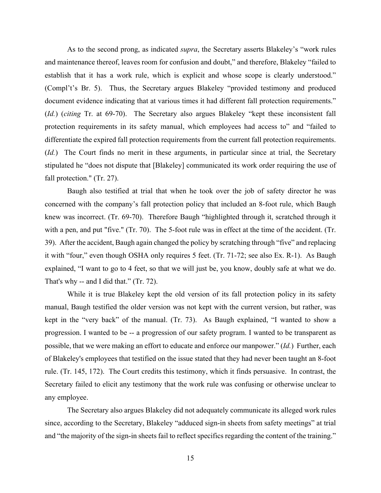As to the second prong, as indicated *supra*, the Secretary asserts Blakeley's "work rules and maintenance thereof, leaves room for confusion and doubt," and therefore, Blakeley "failed to establish that it has a work rule, which is explicit and whose scope is clearly understood." (Compl't's Br. 5). Thus, the Secretary argues Blakeley "provided testimony and produced document evidence indicating that at various times it had different fall protection requirements." (*Id.*) (*citing* Tr. at 69-70). The Secretary also argues Blakeley "kept these inconsistent fall protection requirements in its safety manual, which employees had access to" and "failed to differentiate the expired fall protection requirements from the current fall protection requirements. (*Id.*) The Court finds no merit in these arguments, in particular since at trial, the Secretary stipulated he "does not dispute that [Blakeley] communicated its work order requiring the use of fall protection." (Tr. 27).

Baugh also testified at trial that when he took over the job of safety director he was concerned with the company's fall protection policy that included an 8-foot rule, which Baugh knew was incorrect. (Tr. 69-70). Therefore Baugh "highlighted through it, scratched through it with a pen, and put "five." (Tr. 70). The 5-foot rule was in effect at the time of the accident. (Tr. 39). After the accident, Baugh again changed the policy by scratching through "five" and replacing it with "four," even though OSHA only requires 5 feet. (Tr. 71-72; see also Ex. R-1). As Baugh explained, "I want to go to 4 feet, so that we will just be, you know, doubly safe at what we do. That's why -- and I did that." (Tr. 72).

While it is true Blakeley kept the old version of its fall protection policy in its safety manual, Baugh testified the older version was not kept with the current version, but rather, was kept in the "very back" of the manual. (Tr. 73). As Baugh explained, "I wanted to show a progression. I wanted to be -- a progression of our safety program. I wanted to be transparent as possible, that we were making an effort to educate and enforce our manpower." (*Id.*) Further, each of Blakeley's employees that testified on the issue stated that they had never been taught an 8-foot rule. (Tr. 145, 172). The Court credits this testimony, which it finds persuasive. In contrast, the Secretary failed to elicit any testimony that the work rule was confusing or otherwise unclear to any employee.

The Secretary also argues Blakeley did not adequately communicate its alleged work rules since, according to the Secretary, Blakeley "adduced sign-in sheets from safety meetings" at trial and "the majority of the sign-in sheets fail to reflect specifics regarding the content of the training."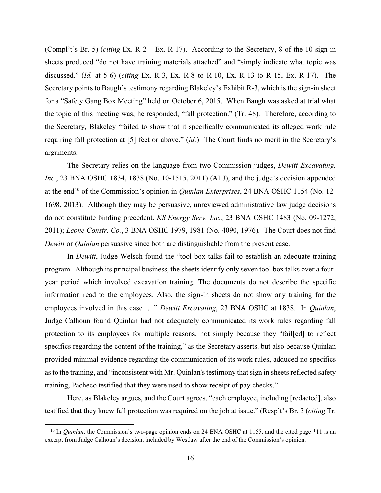(Compl't's Br. 5) (*citing* Ex. R-2 – Ex. R-17). According to the Secretary, 8 of the 10 sign-in sheets produced "do not have training materials attached" and "simply indicate what topic was discussed." (*Id.* at 5-6) (*citing* Ex. R-3, Ex. R-8 to R-10, Ex. R-13 to R-15, Ex. R-17). The Secretary points to Baugh's testimony regarding Blakeley's Exhibit R-3, which is the sign-in sheet for a "Safety Gang Box Meeting" held on October 6, 2015. When Baugh was asked at trial what the topic of this meeting was, he responded, "fall protection." (Tr. 48). Therefore, according to the Secretary, Blakeley "failed to show that it specifically communicated its alleged work rule requiring fall protection at [5] feet or above." (*Id.*) The Court finds no merit in the Secretary's arguments.

The Secretary relies on the language from two Commission judges, *Dewitt Excavating, Inc.*, 23 BNA OSHC 1834, 1838 (No. 10-1515, 2011) (ALJ), and the judge's decision appended at the end[10](#page-15-0) of the Commission's opinion in *Quinlan Enterprises*, 24 BNA OSHC 1154 (No. 12- 1698, 2013). Although they may be persuasive, unreviewed administrative law judge decisions do not constitute binding precedent. *KS Energy Serv. Inc.*, 23 BNA OSHC 1483 (No. 09-1272, 2011); *Leone Constr. Co.*, 3 BNA OSHC 1979, 1981 (No. 4090, 1976). The Court does not find *Dewitt* or *Quinlan* persuasive since both are distinguishable from the present case.

In *Dewitt*, Judge Welsch found the "tool box talks fail to establish an adequate training program. Although its principal business, the sheets identify only seven tool box talks over a fouryear period which involved excavation training. The documents do not describe the specific information read to the employees. Also, the sign-in sheets do not show any training for the employees involved in this case …." *Dewitt Excavating*, 23 BNA OSHC at 1838. In *Quinlan*, Judge Calhoun found Quinlan had not adequately communicated its work rules regarding fall protection to its employees for multiple reasons, not simply because they "fail[ed] to reflect specifics regarding the content of the training," as the Secretary asserts, but also because Quinlan provided minimal evidence regarding the communication of its work rules, adduced no specifics as to the training, and "inconsistent with Mr. Quinlan's testimony that sign in sheets reflected safety training, Pacheco testified that they were used to show receipt of pay checks."

Here, as Blakeley argues, and the Court agrees, "each employee, including [redacted], also testified that they knew fall protection was required on the job at issue." (Resp't's Br. 3 (*citing* Tr.

<span id="page-15-0"></span><sup>&</sup>lt;sup>10</sup> In *Quinlan*, the Commission's two-page opinion ends on 24 BNA OSHC at 1155, and the cited page \*11 is an excerpt from Judge Calhoun's decision, included by Westlaw after the end of the Commission's opinion.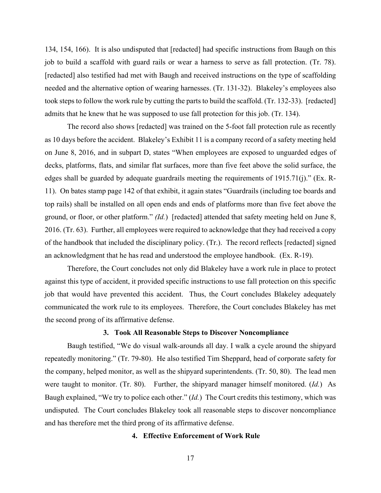134, 154, 166). It is also undisputed that [redacted] had specific instructions from Baugh on this job to build a scaffold with guard rails or wear a harness to serve as fall protection. (Tr. 78). [redacted] also testified had met with Baugh and received instructions on the type of scaffolding needed and the alternative option of wearing harnesses. (Tr. 131-32). Blakeley's employees also took steps to follow the work rule by cutting the parts to build the scaffold. (Tr. 132-33). [redacted] admits that he knew that he was supposed to use fall protection for this job. (Tr. 134).

The record also shows [redacted] was trained on the 5-foot fall protection rule as recently as 10 days before the accident. Blakeley's Exhibit 11 is a company record of a safety meeting held on June 8, 2016, and in subpart D, states "When employees are exposed to unguarded edges of decks, platforms, flats, and similar flat surfaces, more than five feet above the solid surface, the edges shall be guarded by adequate guardrails meeting the requirements of 1915.71(j)." (Ex. R-11). On bates stamp page 142 of that exhibit, it again states "Guardrails (including toe boards and top rails) shall be installed on all open ends and ends of platforms more than five feet above the ground, or floor, or other platform." *(Id.*) [redacted] attended that safety meeting held on June 8, 2016. (Tr. 63). Further, all employees were required to acknowledge that they had received a copy of the handbook that included the disciplinary policy. (Tr.). The record reflects [redacted] signed an acknowledgment that he has read and understood the employee handbook. (Ex. R-19).

Therefore, the Court concludes not only did Blakeley have a work rule in place to protect against this type of accident, it provided specific instructions to use fall protection on this specific job that would have prevented this accident. Thus, the Court concludes Blakeley adequately communicated the work rule to its employees. Therefore, the Court concludes Blakeley has met the second prong of its affirmative defense.

## **3. Took All Reasonable Steps to Discover Noncompliance**

Baugh testified, "We do visual walk-arounds all day. I walk a cycle around the shipyard repeatedly monitoring." (Tr. 79-80). He also testified Tim Sheppard, head of corporate safety for the company, helped monitor, as well as the shipyard superintendents. (Tr. 50, 80). The lead men were taught to monitor. (Tr. 80). Further, the shipyard manager himself monitored. (*Id.*) As Baugh explained, "We try to police each other." (*Id.*) The Court credits this testimony, which was undisputed. The Court concludes Blakeley took all reasonable steps to discover noncompliance and has therefore met the third prong of its affirmative defense.

## **4. Effective Enforcement of Work Rule**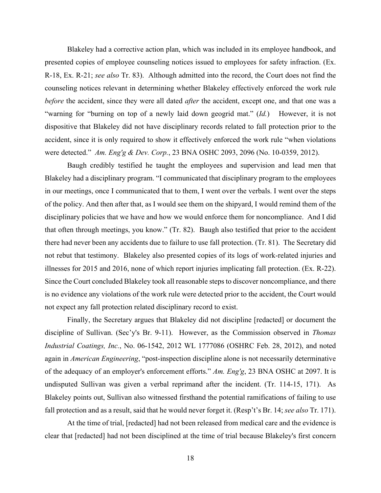Blakeley had a corrective action plan, which was included in its employee handbook, and presented copies of employee counseling notices issued to employees for safety infraction. (Ex. R-18, Ex. R-21; *see also* Tr. 83). Although admitted into the record, the Court does not find the counseling notices relevant in determining whether Blakeley effectively enforced the work rule *before* the accident, since they were all dated *after* the accident, except one, and that one was a "warning for "burning on top of a newly laid down geogrid mat." (*Id.*) However, it is not dispositive that Blakeley did not have disciplinary records related to fall protection prior to the accident, since it is only required to show it effectively enforced the work rule "when violations were detected." *Am. Eng'g & Dev. Corp.*, 23 BNA OSHC 2093, 2096 (No. 10-0359, 2012).

Baugh credibly testified he taught the employees and supervision and lead men that Blakeley had a disciplinary program. "I communicated that disciplinary program to the employees in our meetings, once I communicated that to them, I went over the verbals. I went over the steps of the policy. And then after that, as I would see them on the shipyard, I would remind them of the disciplinary policies that we have and how we would enforce them for noncompliance. And I did that often through meetings, you know." (Tr. 82). Baugh also testified that prior to the accident there had never been any accidents due to failure to use fall protection. (Tr. 81). The Secretary did not rebut that testimony. Blakeley also presented copies of its logs of work-related injuries and illnesses for 2015 and 2016, none of which report injuries implicating fall protection. (Ex. R-22). Since the Court concluded Blakeley took all reasonable steps to discover noncompliance, and there is no evidence any violations of the work rule were detected prior to the accident, the Court would not expect any fall protection related disciplinary record to exist.

Finally, the Secretary argues that Blakeley did not discipline [redacted] or document the discipline of Sullivan. (Sec'y's Br. 9-11). However, as the Commission observed in *Thomas Industrial Coatings, Inc.*, No. 06-1542, 2012 WL 1777086 (OSHRC Feb. 28, 2012), and noted again in *American Engineering*, "post-inspection discipline alone is not necessarily determinative of the adequacy of an employer's enforcement efforts." *Am. Eng'g*, 23 BNA OSHC at 2097. It is undisputed Sullivan was given a verbal reprimand after the incident. (Tr. 114-15, 171). As Blakeley points out, Sullivan also witnessed firsthand the potential ramifications of failing to use fall protection and as a result, said that he would never forget it. (Resp't's Br. 14; *see also* Tr. 171).

At the time of trial, [redacted] had not been released from medical care and the evidence is clear that [redacted] had not been disciplined at the time of trial because Blakeley's first concern